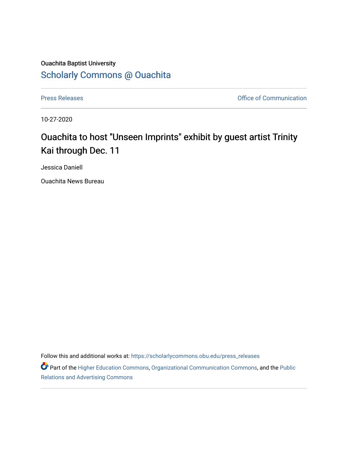## Ouachita Baptist University [Scholarly Commons @ Ouachita](https://scholarlycommons.obu.edu/)

[Press Releases](https://scholarlycommons.obu.edu/press_releases) **Press Releases Communication Press Releases Office of Communication** 

10-27-2020

## Ouachita to host "Unseen Imprints" exhibit by guest artist Trinity Kai through Dec. 11

Jessica Daniell

Ouachita News Bureau

Follow this and additional works at: [https://scholarlycommons.obu.edu/press\\_releases](https://scholarlycommons.obu.edu/press_releases?utm_source=scholarlycommons.obu.edu%2Fpress_releases%2F740&utm_medium=PDF&utm_campaign=PDFCoverPages)

Part of the [Higher Education Commons,](http://network.bepress.com/hgg/discipline/1245?utm_source=scholarlycommons.obu.edu%2Fpress_releases%2F740&utm_medium=PDF&utm_campaign=PDFCoverPages) [Organizational Communication Commons,](http://network.bepress.com/hgg/discipline/335?utm_source=scholarlycommons.obu.edu%2Fpress_releases%2F740&utm_medium=PDF&utm_campaign=PDFCoverPages) and the [Public](http://network.bepress.com/hgg/discipline/336?utm_source=scholarlycommons.obu.edu%2Fpress_releases%2F740&utm_medium=PDF&utm_campaign=PDFCoverPages) [Relations and Advertising Commons](http://network.bepress.com/hgg/discipline/336?utm_source=scholarlycommons.obu.edu%2Fpress_releases%2F740&utm_medium=PDF&utm_campaign=PDFCoverPages)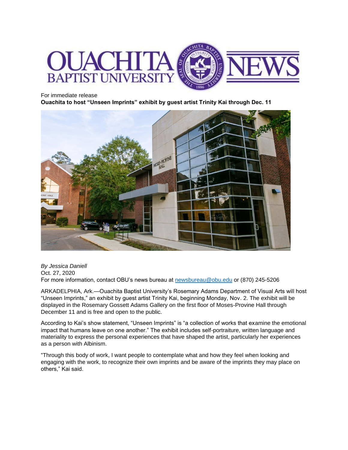

For immediate release

**Ouachita to host "Unseen Imprints" exhibit by guest artist Trinity Kai through Dec. 11**



*By Jessica Daniell* Oct. 27, 2020 For more information, contact OBU's news bureau at [newsbureau@obu.edu](mailto:newsbureau@obu.edu) or (870) 245-5206

ARKADELPHIA, Ark.—Ouachita Baptist University's Rosemary Adams Department of Visual Arts will host "Unseen Imprints," an exhibit by guest artist Trinity Kai, beginning Monday, Nov. 2. The exhibit will be displayed in the Rosemary Gossett Adams Gallery on the first floor of Moses-Provine Hall through December 11 and is free and open to the public.

According to Kai's show statement, "Unseen Imprints" is "a collection of works that examine the emotional impact that humans leave on one another." The exhibit includes self-portraiture, written language and materiality to express the personal experiences that have shaped the artist, particularly her experiences as a person with Albinism.

"Through this body of work, I want people to contemplate what and how they feel when looking and engaging with the work, to recognize their own imprints and be aware of the imprints they may place on others," Kai said.